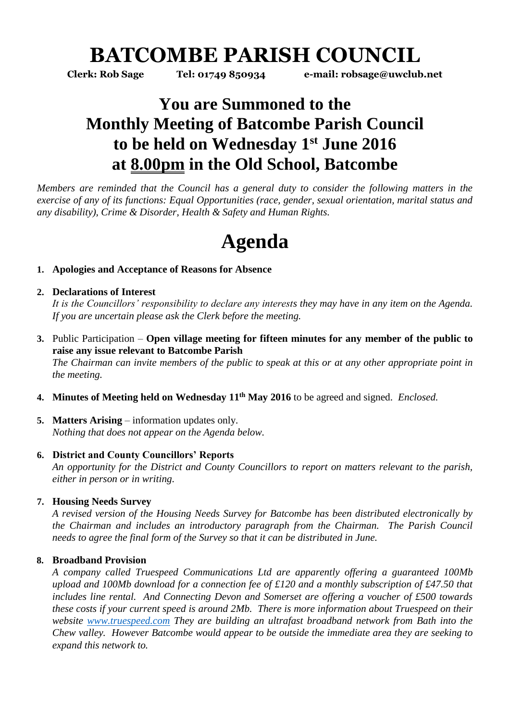# **BATCOMBE PARISH COUNCIL**

**Clerk: Rob Sage Tel: 01749 850934 e-mail: robsage@uwclub.net**

# **You are Summoned to the Monthly Meeting of Batcombe Parish Council to be held on Wednesday 1 st June 2016 at 8.00pm in the Old School, Batcombe**

*Members are reminded that the Council has a general duty to consider the following matters in the exercise of any of its functions: Equal Opportunities (race, gender, sexual orientation, marital status and any disability), Crime & Disorder, Health & Safety and Human Rights.* 

# **Agenda**

### **1. Apologies and Acceptance of Reasons for Absence**

#### **2. Declarations of Interest**

*It is the Councillors' responsibility to declare any interests they may have in any item on the Agenda. If you are uncertain please ask the Clerk before the meeting.* 

- **3.** Public Participation **Open village meeting for fifteen minutes for any member of the public to raise any issue relevant to Batcombe Parish** *The Chairman can invite members of the public to speak at this or at any other appropriate point in the meeting.*
- **4. Minutes of Meeting held on Wednesday 11 th May 2016** to be agreed and signed. *Enclosed.*
- **5. Matters Arising** information updates only. *Nothing that does not appear on the Agenda below.*

#### **6. District and County Councillors' Reports**

*An opportunity for the District and County Councillors to report on matters relevant to the parish, either in person or in writing.* 

## **7. Housing Needs Survey**

*A revised version of the Housing Needs Survey for Batcombe has been distributed electronically by the Chairman and includes an introductory paragraph from the Chairman. The Parish Council needs to agree the final form of the Survey so that it can be distributed in June.*

## **8. Broadband Provision**

*A company called Truespeed Communications Ltd are apparently offering a guaranteed 100Mb upload and 100Mb download for a connection fee of £120 and a monthly subscription of £47.50 that includes line rental. And Connecting Devon and Somerset are offering a voucher of £500 towards these costs if your current speed is around 2Mb. There is more information about Truespeed on their website [www.truespeed.com](http://www.truespeed.com/) They are building an ultrafast broadband network from Bath into the Chew valley. However Batcombe would appear to be outside the immediate area they are seeking to expand this network to.*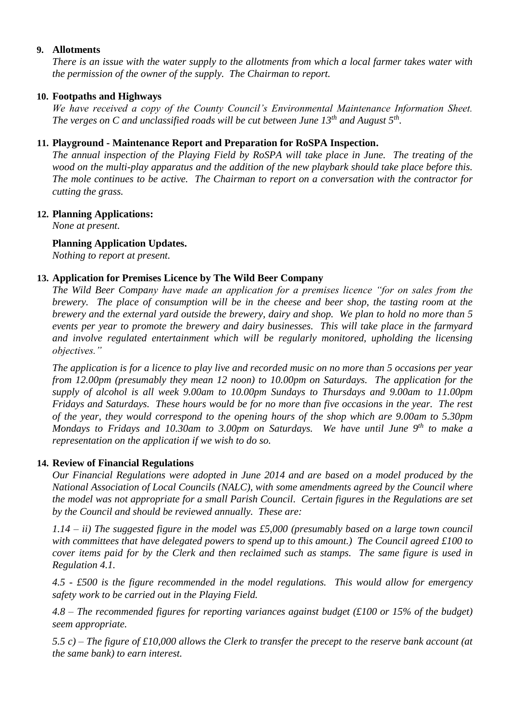#### **9. Allotments**

*There is an issue with the water supply to the allotments from which a local farmer takes water with the permission of the owner of the supply. The Chairman to report.* 

#### **10. Footpaths and Highways**

*We have received a copy of the County Council's Environmental Maintenance Information Sheet. The verges on C and unclassified roads will be cut between June 13th and August 5th .* 

#### **11. Playground - Maintenance Report and Preparation for RoSPA Inspection.**

*The annual inspection of the Playing Field by RoSPA will take place in June. The treating of the wood on the multi-play apparatus and the addition of the new playbark should take place before this. The mole continues to be active. The Chairman to report on a conversation with the contractor for cutting the grass.* 

#### **12. Planning Applications:**

*None at present.* 

#### **Planning Application Updates.**

*Nothing to report at present.* 

#### **13. Application for Premises Licence by The Wild Beer Company**

*The Wild Beer Company have made an application for a premises licence "for on sales from the brewery. The place of consumption will be in the cheese and beer shop, the tasting room at the brewery and the external yard outside the brewery, dairy and shop. We plan to hold no more than 5 events per year to promote the brewery and dairy businesses. This will take place in the farmyard and involve regulated entertainment which will be regularly monitored, upholding the licensing objectives."*

*The application is for a licence to play live and recorded music on no more than 5 occasions per year from 12.00pm (presumably they mean 12 noon) to 10.00pm on Saturdays. The application for the supply of alcohol is all week 9.00am to 10.00pm Sundays to Thursdays and 9.00am to 11.00pm Fridays and Saturdays. These hours would be for no more than five occasions in the year. The rest of the year, they would correspond to the opening hours of the shop which are 9.00am to 5.30pm Mondays to Fridays and 10.30am to 3.00pm on Saturdays. We have until June 9th to make a representation on the application if we wish to do so.* 

#### **14. Review of Financial Regulations**

*Our Financial Regulations were adopted in June 2014 and are based on a model produced by the National Association of Local Councils (NALC), with some amendments agreed by the Council where the model was not appropriate for a small Parish Council. Certain figures in the Regulations are set by the Council and should be reviewed annually. These are:* 

*1.14 – ii) The suggested figure in the model was £5,000 (presumably based on a large town council with committees that have delegated powers to spend up to this amount.) The Council agreed £100 to cover items paid for by the Clerk and then reclaimed such as stamps. The same figure is used in Regulation 4.1.* 

*4.5 - £500 is the figure recommended in the model regulations. This would allow for emergency safety work to be carried out in the Playing Field.*

*4.8 – The recommended figures for reporting variances against budget (£100 or 15% of the budget) seem appropriate.* 

*5.5 c) – The figure of £10,000 allows the Clerk to transfer the precept to the reserve bank account (at the same bank) to earn interest.*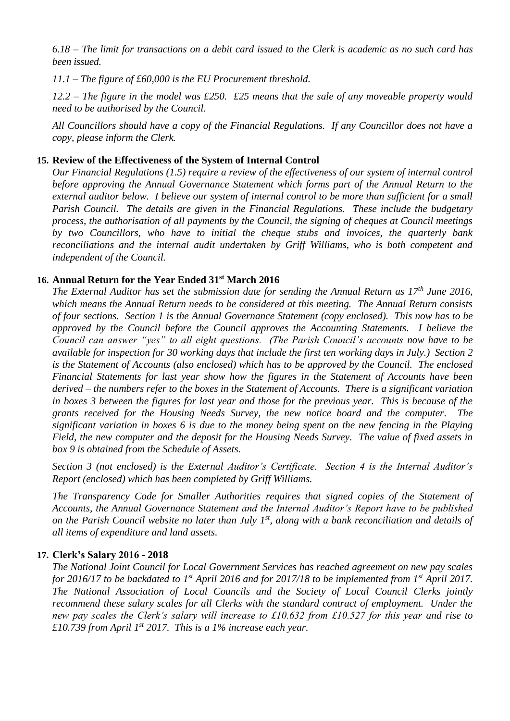*6.18 – The limit for transactions on a debit card issued to the Clerk is academic as no such card has been issued.* 

*11.1 – The figure of £60,000 is the EU Procurement threshold.* 

*12.2 – The figure in the model was £250. £25 means that the sale of any moveable property would need to be authorised by the Council.*

*All Councillors should have a copy of the Financial Regulations. If any Councillor does not have a copy, please inform the Clerk.* 

#### **15. Review of the Effectiveness of the System of Internal Control**

*Our Financial Regulations (1.5) require a review of the effectiveness of our system of internal control before approving the Annual Governance Statement which forms part of the Annual Return to the external auditor below. I believe our system of internal control to be more than sufficient for a small Parish Council. The details are given in the Financial Regulations. These include the budgetary process, the authorisation of all payments by the Council, the signing of cheques at Council meetings by two Councillors, who have to initial the cheque stubs and invoices, the quarterly bank reconciliations and the internal audit undertaken by Griff Williams, who is both competent and independent of the Council.* 

#### **16. Annual Return for the Year Ended 31st March 2016**

*The External Auditor has set the submission date for sending the Annual Return as 17 th June 2016, which means the Annual Return needs to be considered at this meeting. The Annual Return consists of four sections. Section 1 is the Annual Governance Statement (copy enclosed). This now has to be approved by the Council before the Council approves the Accounting Statements. I believe the Council can answer "yes" to all eight questions. (The Parish Council's accounts now have to be available for inspection for 30 working days that include the first ten working days in July.) Section 2 is the Statement of Accounts (also enclosed) which has to be approved by the Council. The enclosed Financial Statements for last year show how the figures in the Statement of Accounts have been derived – the numbers refer to the boxes in the Statement of Accounts. There is a significant variation in boxes 3 between the figures for last year and those for the previous year. This is because of the grants received for the Housing Needs Survey, the new notice board and the computer. The significant variation in boxes 6 is due to the money being spent on the new fencing in the Playing Field, the new computer and the deposit for the Housing Needs Survey. The value of fixed assets in box 9 is obtained from the Schedule of Assets.* 

*Section 3 (not enclosed) is the External Auditor's Certificate. Section 4 is the Internal Auditor's Report (enclosed) which has been completed by Griff Williams.* 

*The Transparency Code for Smaller Authorities requires that signed copies of the Statement of Accounts, the Annual Governance Statement and the Internal Auditor's Report have to be published on the Parish Council website no later than July 1st, along with a bank reconciliation and details of all items of expenditure and land assets.* 

#### **17. Clerk's Salary 2016 - 2018**

*The National Joint Council for Local Government Services has reached agreement on new pay scales for 2016/17 to be backdated to 1st April 2016 and for 2017/18 to be implemented from 1st April 2017. The National Association of Local Councils and the Society of Local Council Clerks jointly recommend these salary scales for all Clerks with the standard contract of employment. Under the new pay scales the Clerk's salary will increase to £10.632 from £10.527 for this year and rise to £10.739 from April 1st 2017. This is a 1% increase each year.*